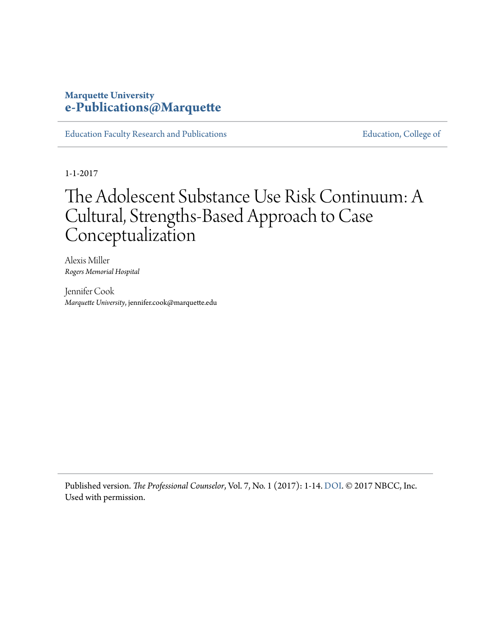## **Marquette University [e-Publications@Marquette](http://epublications.marquette.edu)**

[Education Faculty Research and Publications](http://epublications.marquette.edu/edu_fac) **Education** [Education, College of](http://epublications.marquette.edu/education)

1-1-2017

## The Adolescent Substance Use Risk Continuum: A Cultural, Strengths-Based Approach to Case Conceptualization

Alexis Miller *Rogers Memorial Hospital*

Jennifer Cook *Marquette University*, jennifer.cook@marquette.edu

Published version. *The Professional Counselor*, Vol. 7, No. 1 (2017): 1-14. [DOI](http://dx.doi.org/10.15241/am.7.1.1). © 2017 NBCC, Inc. Used with permission.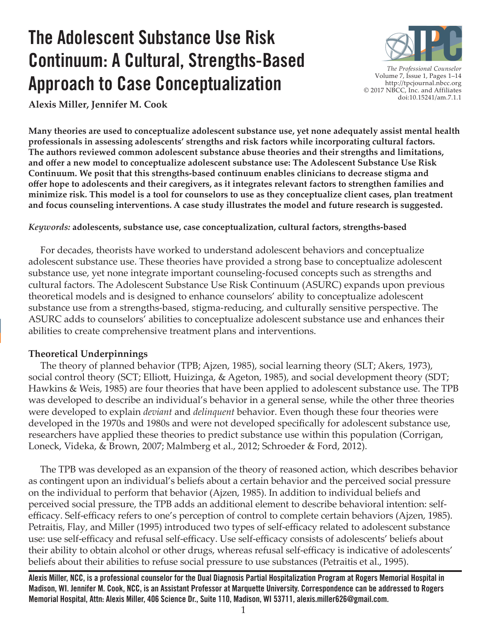# **The Adolescent Substance Use Risk Continuum: A Cultural, Strengths-Based Approach to Case Conceptualization**



*The Professional Counselor*  Volume 7, Issue 1, Pages 1–14 http://tpcjournal.nbcc.org © 2017 NBCC, Inc. and Affiliates doi:10.15241/am.7.1.1

**Alexis Miller, Jennifer M. Cook**

**Many theories are used to conceptualize adolescent substance use, yet none adequately assist mental health professionals in assessing adolescents' strengths and risk factors while incorporating cultural factors. The authors reviewed common adolescent substance abuse theories and their strengths and limitations, and offer a new model to conceptualize adolescent substance use: The Adolescent Substance Use Risk Continuum. We posit that this strengths-based continuum enables clinicians to decrease stigma and offer hope to adolescents and their caregivers, as it integrates relevant factors to strengthen families and minimize risk. This model is a tool for counselors to use as they conceptualize client cases, plan treatment and focus counseling interventions. A case study illustrates the model and future research is suggested.**

*Keywords:* **adolescents, substance use, case conceptualization, cultural factors, strengths-based**

 For decades, theorists have worked to understand adolescent behaviors and conceptualize adolescent substance use. These theories have provided a strong base to conceptualize adolescent substance use, yet none integrate important counseling-focused concepts such as strengths and cultural factors. The Adolescent Substance Use Risk Continuum (ASURC) expands upon previous theoretical models and is designed to enhance counselors' ability to conceptualize adolescent substance use from a strengths-based, stigma-reducing, and culturally sensitive perspective. The ASURC adds to counselors' abilities to conceptualize adolescent substance use and enhances their abilities to create comprehensive treatment plans and interventions.

#### **Theoretical Underpinnings**

 The theory of planned behavior (TPB; Ajzen, 1985), social learning theory (SLT; Akers, 1973), social control theory (SCT; Elliott, Huizinga, & Ageton, 1985), and social development theory (SDT; Hawkins & Weis, 1985) are four theories that have been applied to adolescent substance use. The TPB was developed to describe an individual's behavior in a general sense, while the other three theories were developed to explain *deviant* and *delinquent* behavior. Even though these four theories were developed in the 1970s and 1980s and were not developed specifically for adolescent substance use, researchers have applied these theories to predict substance use within this population (Corrigan, Loneck, Videka, & Brown, 2007; Malmberg et al., 2012; Schroeder & Ford, 2012).

 The TPB was developed as an expansion of the theory of reasoned action, which describes behavior as contingent upon an individual's beliefs about a certain behavior and the perceived social pressure on the individual to perform that behavior (Ajzen, 1985). In addition to individual beliefs and perceived social pressure, the TPB adds an additional element to describe behavioral intention: selfefficacy. Self-efficacy refers to one's perception of control to complete certain behaviors (Ajzen, 1985). Petraitis, Flay, and Miller (1995) introduced two types of self-efficacy related to adolescent substance use: use self-efficacy and refusal self-efficacy. Use self-efficacy consists of adolescents' beliefs about their ability to obtain alcohol or other drugs, whereas refusal self-efficacy is indicative of adolescents' beliefs about their abilities to refuse social pressure to use substances (Petraitis et al., 1995).

**Alexis Miller, NCC, is a professional counselor for the Dual Diagnosis Partial Hospitalization Program at Rogers Memorial Hospital in Madison, WI. Jennifer M. Cook, NCC, is an Assistant Professor at Marquette University. Correspondence can be addressed to Rogers Memorial Hospital, Attn: Alexis Miller, 406 Science Dr., Suite 110, Madison, WI 53711, alexis.miller626@gmail.com.**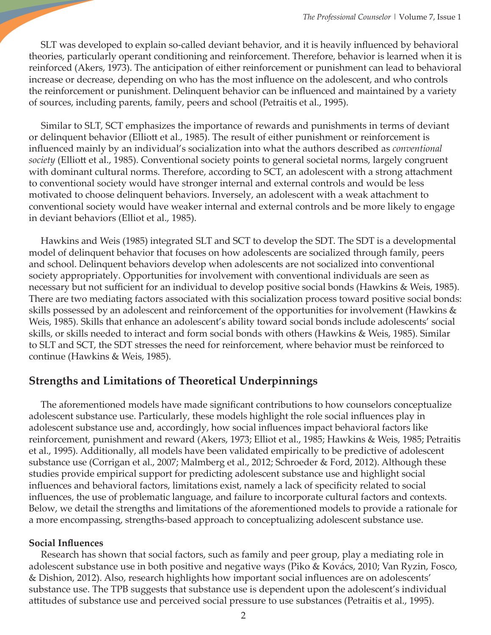SLT was developed to explain so-called deviant behavior, and it is heavily influenced by behavioral theories, particularly operant conditioning and reinforcement. Therefore, behavior is learned when it is reinforced (Akers, 1973). The anticipation of either reinforcement or punishment can lead to behavioral increase or decrease, depending on who has the most influence on the adolescent, and who controls the reinforcement or punishment. Delinquent behavior can be influenced and maintained by a variety of sources, including parents, family, peers and school (Petraitis et al., 1995).

 Similar to SLT, SCT emphasizes the importance of rewards and punishments in terms of deviant or delinquent behavior (Elliott et al., 1985). The result of either punishment or reinforcement is influenced mainly by an individual's socialization into what the authors described as *conventional society* (Elliott et al., 1985). Conventional society points to general societal norms, largely congruent with dominant cultural norms. Therefore, according to SCT, an adolescent with a strong attachment to conventional society would have stronger internal and external controls and would be less motivated to choose delinquent behaviors. Inversely, an adolescent with a weak attachment to conventional society would have weaker internal and external controls and be more likely to engage in deviant behaviors (Elliot et al., 1985).

 Hawkins and Weis (1985) integrated SLT and SCT to develop the SDT. The SDT is a developmental model of delinquent behavior that focuses on how adolescents are socialized through family, peers and school. Delinquent behaviors develop when adolescents are not socialized into conventional society appropriately. Opportunities for involvement with conventional individuals are seen as necessary but not sufficient for an individual to develop positive social bonds (Hawkins & Weis, 1985). There are two mediating factors associated with this socialization process toward positive social bonds: skills possessed by an adolescent and reinforcement of the opportunities for involvement (Hawkins & Weis, 1985). Skills that enhance an adolescent's ability toward social bonds include adolescents' social skills, or skills needed to interact and form social bonds with others (Hawkins & Weis, 1985). Similar to SLT and SCT, the SDT stresses the need for reinforcement, where behavior must be reinforced to continue (Hawkins & Weis, 1985).

## **Strengths and Limitations of Theoretical Underpinnings**

 The aforementioned models have made significant contributions to how counselors conceptualize adolescent substance use. Particularly, these models highlight the role social influences play in adolescent substance use and, accordingly, how social influences impact behavioral factors like reinforcement, punishment and reward (Akers, 1973; Elliot et al., 1985; Hawkins & Weis, 1985; Petraitis et al., 1995). Additionally, all models have been validated empirically to be predictive of adolescent substance use (Corrigan et al., 2007; Malmberg et al., 2012; Schroeder & Ford, 2012). Although these studies provide empirical support for predicting adolescent substance use and highlight social influences and behavioral factors, limitations exist, namely a lack of specificity related to social influences, the use of problematic language, and failure to incorporate cultural factors and contexts. Below, we detail the strengths and limitations of the aforementioned models to provide a rationale for a more encompassing, strengths-based approach to conceptualizing adolescent substance use.

#### **Social Influences**

 Research has shown that social factors, such as family and peer group, play a mediating role in adolescent substance use in both positive and negative ways (Piko & Kovács, 2010; Van Ryzin, Fosco, & Dishion, 2012). Also, research highlights how important social influences are on adolescents' substance use. The TPB suggests that substance use is dependent upon the adolescent's individual attitudes of substance use and perceived social pressure to use substances (Petraitis et al., 1995).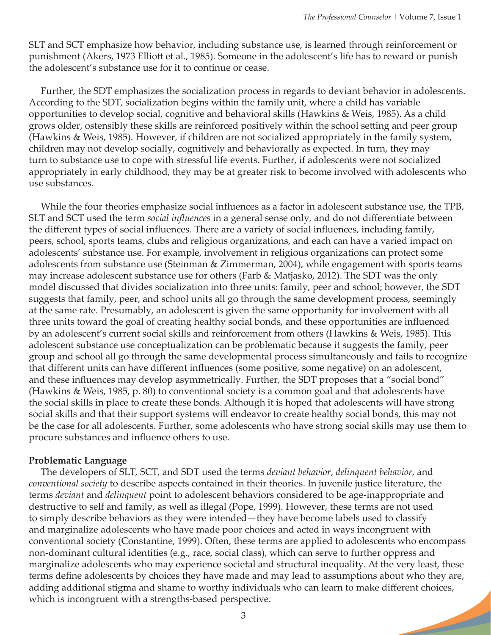SLT and SCT emphasize how behavior, including substance use, is learned through reinforcement or punishment (Akers, 1973 Elliott et al., 1985). Someone in the adolescent's life has to reward or punish the adolescent's substance use for it to continue or cease.

 Further, the SDT emphasizes the socialization process in regards to deviant behavior in adolescents. According to the SDT, socialization begins within the family unit, where a child has variable opportunities to develop social, cognitive and behavioral skills (Hawkins & Weis, 1985). As a child grows older, ostensibly these skills are reinforced positively within the school setting and peer group (Hawkins & Weis, 1985). However, if children are not socialized appropriately in the family system, children may not develop socially, cognitively and behaviorally as expected. In turn, they may turn to substance use to cope with stressful life events. Further, if adolescents were not socialized appropriately in early childhood, they may be at greater risk to become involved with adolescents who use substances.

 While the four theories emphasize social influences as a factor in adolescent substance use, the TPB, SLT and SCT used the term *social influences* in a general sense only, and do not differentiate between the different types of social influences. There are a variety of social influences, including family, peers, school, sports teams, clubs and religious organizations, and each can have a varied impact on adolescents' substance use. For example, involvement in religious organizations can protect some adolescents from substance use (Steinman & Zimmerman, 2004), while engagement with sports teams may increase adolescent substance use for others (Farb & Matjasko, 2012). The SDT was the only model discussed that divides socialization into three units: family, peer and school; however, the SDT suggests that family, peer, and school units all go through the same development process, seemingly at the same rate. Presumably, an adolescent is given the same opportunity for involvement with all three units toward the goal of creating healthy social bonds, and these opportunities are influenced by an adolescent's current social skills and reinforcement from others (Hawkins & Weis, 1985). This adolescent substance use conceptualization can be problematic because it suggests the family, peer group and school all go through the same developmental process simultaneously and fails to recognize that different units can have different influences (some positive, some negative) on an adolescent, and these influences may develop asymmetrically. Further, the SDT proposes that a "social bond" (Hawkins & Weis, 1985, p. 80) to conventional society is a common goal and that adolescents have the social skills in place to create these bonds. Although it is hoped that adolescents will have strong social skills and that their support systems will endeavor to create healthy social bonds, this may not be the case for all adolescents. Further, some adolescents who have strong social skills may use them to procure substances and influence others to use.

#### **Problematic Language**

 The developers of SLT, SCT, and SDT used the terms *deviant behavior*, *delinquent behavior*, and *conventional society* to describe aspects contained in their theories. In juvenile justice literature, the terms *deviant* and *delinquent* point to adolescent behaviors considered to be age-inappropriate and destructive to self and family, as well as illegal (Pope, 1999). However, these terms are not used to simply describe behaviors as they were intended—they have become labels used to classify and marginalize adolescents who have made poor choices and acted in ways incongruent with conventional society (Constantine, 1999). Often, these terms are applied to adolescents who encompass non-dominant cultural identities (e.g., race, social class), which can serve to further oppress and marginalize adolescents who may experience societal and structural inequality. At the very least, these terms define adolescents by choices they have made and may lead to assumptions about who they are, adding additional stigma and shame to worthy individuals who can learn to make different choices, which is incongruent with a strengths-based perspective.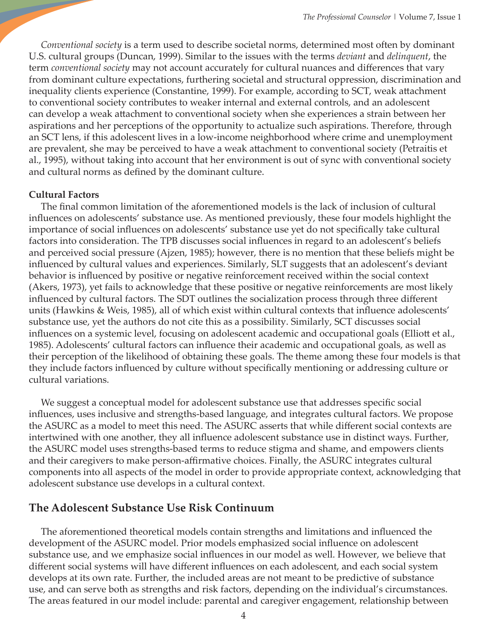*Conventional society* is a term used to describe societal norms, determined most often by dominant U.S. cultural groups (Duncan, 1999). Similar to the issues with the terms *deviant* and *delinquent*, the term *conventional society* may not account accurately for cultural nuances and differences that vary from dominant culture expectations, furthering societal and structural oppression, discrimination and inequality clients experience (Constantine, 1999). For example, according to SCT, weak attachment to conventional society contributes to weaker internal and external controls, and an adolescent can develop a weak attachment to conventional society when she experiences a strain between her aspirations and her perceptions of the opportunity to actualize such aspirations. Therefore, through an SCT lens, if this adolescent lives in a low-income neighborhood where crime and unemployment are prevalent, she may be perceived to have a weak attachment to conventional society (Petraitis et al., 1995), without taking into account that her environment is out of sync with conventional society and cultural norms as defined by the dominant culture.

#### **Cultural Factors**

 The final common limitation of the aforementioned models is the lack of inclusion of cultural influences on adolescents' substance use. As mentioned previously, these four models highlight the importance of social influences on adolescents' substance use yet do not specifically take cultural factors into consideration. The TPB discusses social influences in regard to an adolescent's beliefs and perceived social pressure (Ajzen, 1985); however, there is no mention that these beliefs might be influenced by cultural values and experiences. Similarly, SLT suggests that an adolescent's deviant behavior is influenced by positive or negative reinforcement received within the social context (Akers, 1973), yet fails to acknowledge that these positive or negative reinforcements are most likely influenced by cultural factors. The SDT outlines the socialization process through three different units (Hawkins & Weis, 1985), all of which exist within cultural contexts that influence adolescents' substance use, yet the authors do not cite this as a possibility. Similarly, SCT discusses social influences on a systemic level, focusing on adolescent academic and occupational goals (Elliott et al., 1985). Adolescents' cultural factors can influence their academic and occupational goals, as well as their perception of the likelihood of obtaining these goals. The theme among these four models is that they include factors influenced by culture without specifically mentioning or addressing culture or cultural variations.

 We suggest a conceptual model for adolescent substance use that addresses specific social influences, uses inclusive and strengths-based language, and integrates cultural factors. We propose the ASURC as a model to meet this need. The ASURC asserts that while different social contexts are intertwined with one another, they all influence adolescent substance use in distinct ways. Further, the ASURC model uses strengths-based terms to reduce stigma and shame, and empowers clients and their caregivers to make person-affirmative choices. Finally, the ASURC integrates cultural components into all aspects of the model in order to provide appropriate context, acknowledging that adolescent substance use develops in a cultural context.

#### **The Adolescent Substance Use Risk Continuum**

The aforementioned theoretical models contain strengths and limitations and influenced the development of the ASURC model. Prior models emphasized social influence on adolescent substance use, and we emphasize social influences in our model as well. However, we believe that different social systems will have different influences on each adolescent, and each social system develops at its own rate. Further, the included areas are not meant to be predictive of substance use, and can serve both as strengths and risk factors, depending on the individual's circumstances. The areas featured in our model include: parental and caregiver engagement, relationship between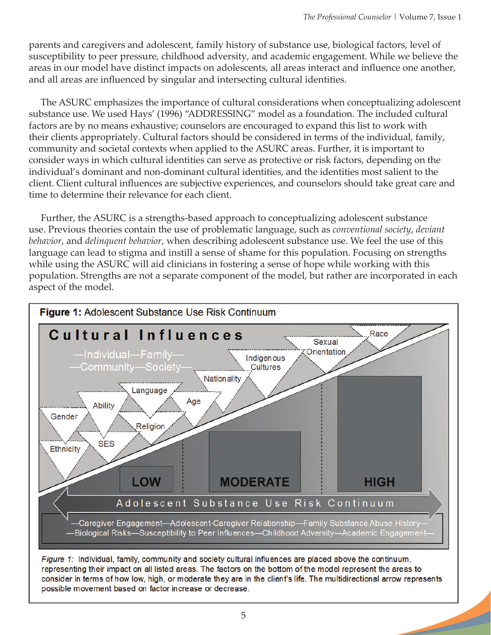parents and caregivers and adolescent, family history of substance use, biological factors, level of susceptibility to peer pressure, childhood adversity, and academic engagement. While we believe the areas in our model have distinct impacts on adolescents, all areas interact and influence one another, and all areas are influenced by singular and intersecting cultural identities.

 The ASURC emphasizes the importance of cultural considerations when conceptualizing adolescent substance use. We used Hays' (1996) "ADDRESSING" model as a foundation. The included cultural factors are by no means exhaustive; counselors are encouraged to expand this list to work with their clients appropriately. Cultural factors should be considered in terms of the individual, family, community and societal contexts when applied to the ASURC areas. Further, it is important to consider ways in which cultural identities can serve as protective or risk factors, depending on the individual's dominant and non-dominant cultural identities, and the identities most salient to the client. Client cultural influences are subjective experiences, and counselors should take great care and time to determine their relevance for each client.

 Further, the ASURC is a strengths-based approach to conceptualizing adolescent substance use. Previous theories contain the use of problematic language, such as *conventional society*, *deviant behavior*, and *delinquent behavior*, when describing adolescent substance use. We feel the use of this language can lead to stigma and instill a sense of shame for this population. Focusing on strengths while using the ASURC will aid clinicians in fostering a sense of hope while working with this population. Strengths are not a separate component of the model, but rather are incorporated in each aspect of the model.



Figure 1: Individual, family, community and society cultural influences are placed above the continuum, representing their impact on all listed areas. The factors on the bottom of the model represent the areas to consider in terms of how low, high, or moderate they are in the client's life. The multidirectional arrow represents possible movement based on factor increase or decrease.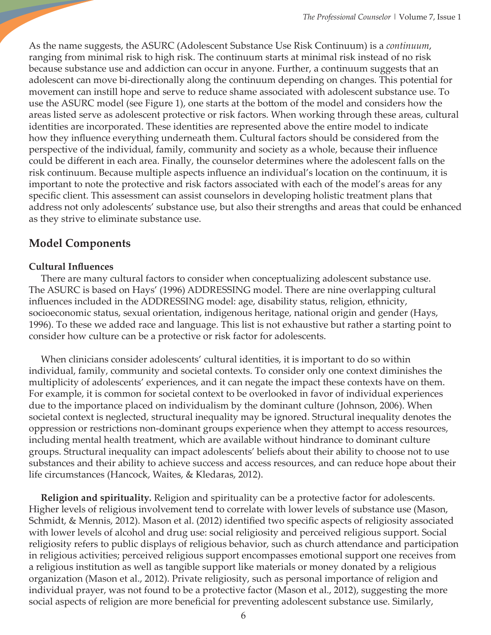As the name suggests, the ASURC (Adolescent Substance Use Risk Continuum) is a *continuum*, ranging from minimal risk to high risk. The continuum starts at minimal risk instead of no risk because substance use and addiction can occur in anyone. Further, a continuum suggests that an adolescent can move bi-directionally along the continuum depending on changes. This potential for movement can instill hope and serve to reduce shame associated with adolescent substance use. To use the ASURC model (see Figure 1), one starts at the bottom of the model and considers how the areas listed serve as adolescent protective or risk factors. When working through these areas, cultural identities are incorporated. These identities are represented above the entire model to indicate how they influence everything underneath them. Cultural factors should be considered from the perspective of the individual, family, community and society as a whole, because their influence could be different in each area. Finally, the counselor determines where the adolescent falls on the risk continuum. Because multiple aspects influence an individual's location on the continuum, it is important to note the protective and risk factors associated with each of the model's areas for any specific client. This assessment can assist counselors in developing holistic treatment plans that address not only adolescents' substance use, but also their strengths and areas that could be enhanced as they strive to eliminate substance use.

## **Model Components**

#### **Cultural Influences**

 There are many cultural factors to consider when conceptualizing adolescent substance use. The ASURC is based on Hays' (1996) ADDRESSING model. There are nine overlapping cultural influences included in the ADDRESSING model: age, disability status, religion, ethnicity, socioeconomic status, sexual orientation, indigenous heritage, national origin and gender (Hays, 1996). To these we added race and language. This list is not exhaustive but rather a starting point to consider how culture can be a protective or risk factor for adolescents.

 When clinicians consider adolescents' cultural identities, it is important to do so within individual, family, community and societal contexts. To consider only one context diminishes the multiplicity of adolescents' experiences, and it can negate the impact these contexts have on them. For example, it is common for societal context to be overlooked in favor of individual experiences due to the importance placed on individualism by the dominant culture (Johnson, 2006). When societal context is neglected, structural inequality may be ignored. Structural inequality denotes the oppression or restrictions non-dominant groups experience when they attempt to access resources, including mental health treatment, which are available without hindrance to dominant culture groups. Structural inequality can impact adolescents' beliefs about their ability to choose not to use substances and their ability to achieve success and access resources, and can reduce hope about their life circumstances (Hancock, Waites, & Kledaras, 2012).

 **Religion and spirituality***.* Religion and spirituality can be a protective factor for adolescents. Higher levels of religious involvement tend to correlate with lower levels of substance use (Mason, Schmidt, & Mennis, 2012). Mason et al. (2012) identified two specific aspects of religiosity associated with lower levels of alcohol and drug use: social religiosity and perceived religious support. Social religiosity refers to public displays of religious behavior, such as church attendance and participation in religious activities; perceived religious support encompasses emotional support one receives from a religious institution as well as tangible support like materials or money donated by a religious organization (Mason et al., 2012). Private religiosity, such as personal importance of religion and individual prayer, was not found to be a protective factor (Mason et al., 2012), suggesting the more social aspects of religion are more beneficial for preventing adolescent substance use. Similarly,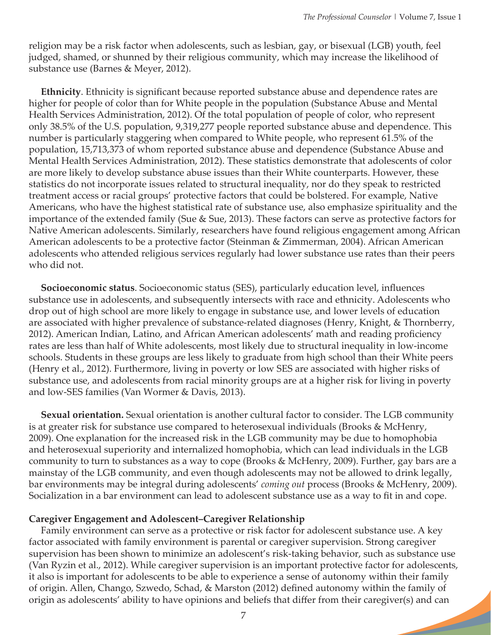religion may be a risk factor when adolescents, such as lesbian, gay, or bisexual (LGB) youth, feel judged, shamed, or shunned by their religious community, which may increase the likelihood of substance use (Barnes & Meyer, 2012).

 **Ethnicity**. Ethnicity is significant because reported substance abuse and dependence rates are higher for people of color than for White people in the population (Substance Abuse and Mental Health Services Administration, 2012). Of the total population of people of color, who represent only 38.5% of the U.S. population, 9,319,277 people reported substance abuse and dependence. This number is particularly staggering when compared to White people, who represent 61.5% of the population, 15,713,373 of whom reported substance abuse and dependence (Substance Abuse and Mental Health Services Administration, 2012). These statistics demonstrate that adolescents of color are more likely to develop substance abuse issues than their White counterparts. However, these statistics do not incorporate issues related to structural inequality, nor do they speak to restricted treatment access or racial groups' protective factors that could be bolstered. For example, Native Americans, who have the highest statistical rate of substance use, also emphasize spirituality and the importance of the extended family (Sue & Sue, 2013). These factors can serve as protective factors for Native American adolescents. Similarly, researchers have found religious engagement among African American adolescents to be a protective factor (Steinman & Zimmerman, 2004). African American adolescents who attended religious services regularly had lower substance use rates than their peers who did not.

 **Socioeconomic status**. Socioeconomic status (SES), particularly education level, influences substance use in adolescents, and subsequently intersects with race and ethnicity. Adolescents who drop out of high school are more likely to engage in substance use, and lower levels of education are associated with higher prevalence of substance-related diagnoses (Henry, Knight, & Thornberry, 2012). American Indian, Latino, and African American adolescents' math and reading proficiency rates are less than half of White adolescents, most likely due to structural inequality in low-income schools. Students in these groups are less likely to graduate from high school than their White peers (Henry et al., 2012). Furthermore, living in poverty or low SES are associated with higher risks of substance use, and adolescents from racial minority groups are at a higher risk for living in poverty and low-SES families (Van Wormer & Davis, 2013).

 **Sexual orientation.** Sexual orientation is another cultural factor to consider. The LGB community is at greater risk for substance use compared to heterosexual individuals (Brooks & McHenry, 2009). One explanation for the increased risk in the LGB community may be due to homophobia and heterosexual superiority and internalized homophobia, which can lead individuals in the LGB community to turn to substances as a way to cope (Brooks & McHenry, 2009). Further, gay bars are a mainstay of the LGB community, and even though adolescents may not be allowed to drink legally, bar environments may be integral during adolescents' *coming out* process (Brooks & McHenry, 2009). Socialization in a bar environment can lead to adolescent substance use as a way to fit in and cope.

#### **Caregiver Engagement and Adolescent–Caregiver Relationship**

 Family environment can serve as a protective or risk factor for adolescent substance use. A key factor associated with family environment is parental or caregiver supervision. Strong caregiver supervision has been shown to minimize an adolescent's risk-taking behavior, such as substance use (Van Ryzin et al., 2012). While caregiver supervision is an important protective factor for adolescents, it also is important for adolescents to be able to experience a sense of autonomy within their family of origin. Allen, Chango, Szwedo, Schad, & Marston (2012) defined autonomy within the family of origin as adolescents' ability to have opinions and beliefs that differ from their caregiver(s) and can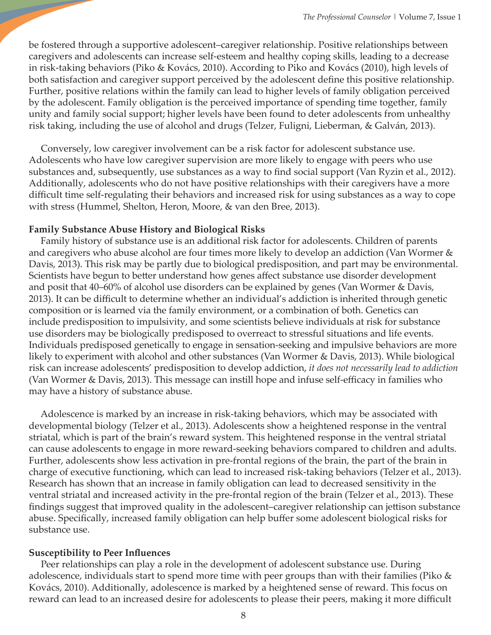be fostered through a supportive adolescent–caregiver relationship. Positive relationships between caregivers and adolescents can increase self-esteem and healthy coping skills, leading to a decrease in risk-taking behaviors (Piko & Kovács, 2010). According to Piko and Kovács (2010), high levels of both satisfaction and caregiver support perceived by the adolescent define this positive relationship. Further, positive relations within the family can lead to higher levels of family obligation perceived by the adolescent. Family obligation is the perceived importance of spending time together, family unity and family social support; higher levels have been found to deter adolescents from unhealthy risk taking, including the use of alcohol and drugs (Telzer, Fuligni, Lieberman, & Galván, 2013).

 Conversely, low caregiver involvement can be a risk factor for adolescent substance use. Adolescents who have low caregiver supervision are more likely to engage with peers who use substances and, subsequently, use substances as a way to find social support (Van Ryzin et al., 2012). Additionally, adolescents who do not have positive relationships with their caregivers have a more difficult time self-regulating their behaviors and increased risk for using substances as a way to cope with stress (Hummel, Shelton, Heron, Moore, & van den Bree, 2013).

#### **Family Substance Abuse History and Biological Risks**

 Family history of substance use is an additional risk factor for adolescents. Children of parents and caregivers who abuse alcohol are four times more likely to develop an addiction (Van Wormer & Davis, 2013). This risk may be partly due to biological predisposition, and part may be environmental. Scientists have begun to better understand how genes affect substance use disorder development and posit that 40–60% of alcohol use disorders can be explained by genes (Van Wormer & Davis, 2013). It can be difficult to determine whether an individual's addiction is inherited through genetic composition or is learned via the family environment, or a combination of both. Genetics can include predisposition to impulsivity, and some scientists believe individuals at risk for substance use disorders may be biologically predisposed to overreact to stressful situations and life events. Individuals predisposed genetically to engage in sensation-seeking and impulsive behaviors are more likely to experiment with alcohol and other substances (Van Wormer & Davis, 2013). While biological risk can increase adolescents' predisposition to develop addiction, *it does not necessarily lead to addiction* (Van Wormer & Davis, 2013). This message can instill hope and infuse self-efficacy in families who may have a history of substance abuse.

 Adolescence is marked by an increase in risk-taking behaviors, which may be associated with developmental biology (Telzer et al., 2013). Adolescents show a heightened response in the ventral striatal, which is part of the brain's reward system. This heightened response in the ventral striatal can cause adolescents to engage in more reward-seeking behaviors compared to children and adults. Further, adolescents show less activation in pre-frontal regions of the brain, the part of the brain in charge of executive functioning, which can lead to increased risk-taking behaviors (Telzer et al., 2013). Research has shown that an increase in family obligation can lead to decreased sensitivity in the ventral striatal and increased activity in the pre-frontal region of the brain (Telzer et al., 2013). These findings suggest that improved quality in the adolescent–caregiver relationship can jettison substance abuse. Specifically, increased family obligation can help buffer some adolescent biological risks for substance use.

#### **Susceptibility to Peer Influences**

 Peer relationships can play a role in the development of adolescent substance use. During adolescence, individuals start to spend more time with peer groups than with their families (Piko & Kovács, 2010). Additionally, adolescence is marked by a heightened sense of reward. This focus on reward can lead to an increased desire for adolescents to please their peers, making it more difficult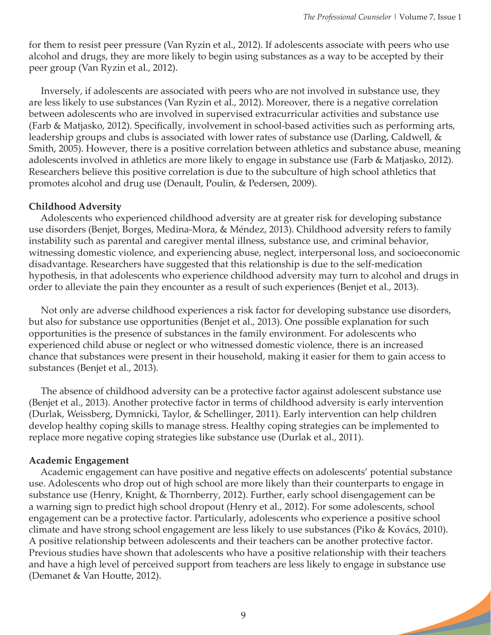for them to resist peer pressure (Van Ryzin et al., 2012). If adolescents associate with peers who use alcohol and drugs, they are more likely to begin using substances as a way to be accepted by their peer group (Van Ryzin et al., 2012).

 Inversely, if adolescents are associated with peers who are not involved in substance use, they are less likely to use substances (Van Ryzin et al., 2012). Moreover, there is a negative correlation between adolescents who are involved in supervised extracurricular activities and substance use (Farb & Matjasko, 2012). Specifically, involvement in school-based activities such as performing arts, leadership groups and clubs is associated with lower rates of substance use (Darling, Caldwell, & Smith, 2005). However, there is a positive correlation between athletics and substance abuse, meaning adolescents involved in athletics are more likely to engage in substance use (Farb & Matjasko, 2012). Researchers believe this positive correlation is due to the subculture of high school athletics that promotes alcohol and drug use (Denault, Poulin, & Pedersen, 2009).

#### **Childhood Adversity**

 Adolescents who experienced childhood adversity are at greater risk for developing substance use disorders (Benjet, Borges, Medina-Mora, & Méndez, 2013). Childhood adversity refers to family instability such as parental and caregiver mental illness, substance use, and criminal behavior, witnessing domestic violence, and experiencing abuse, neglect, interpersonal loss, and socioeconomic disadvantage. Researchers have suggested that this relationship is due to the self-medication hypothesis, in that adolescents who experience childhood adversity may turn to alcohol and drugs in order to alleviate the pain they encounter as a result of such experiences (Benjet et al., 2013).

 Not only are adverse childhood experiences a risk factor for developing substance use disorders, but also for substance use opportunities (Benjet et al., 2013). One possible explanation for such opportunities is the presence of substances in the family environment. For adolescents who experienced child abuse or neglect or who witnessed domestic violence, there is an increased chance that substances were present in their household, making it easier for them to gain access to substances (Benjet et al., 2013).

 The absence of childhood adversity can be a protective factor against adolescent substance use (Benjet et al., 2013). Another protective factor in terms of childhood adversity is early intervention (Durlak, Weissberg, Dymnicki, Taylor, & Schellinger, 2011). Early intervention can help children develop healthy coping skills to manage stress. Healthy coping strategies can be implemented to replace more negative coping strategies like substance use (Durlak et al., 2011).

#### **Academic Engagement**

 Academic engagement can have positive and negative effects on adolescents' potential substance use. Adolescents who drop out of high school are more likely than their counterparts to engage in substance use (Henry, Knight, & Thornberry, 2012). Further, early school disengagement can be a warning sign to predict high school dropout (Henry et al., 2012). For some adolescents, school engagement can be a protective factor. Particularly, adolescents who experience a positive school climate and have strong school engagement are less likely to use substances (Piko & Kovács, 2010). A positive relationship between adolescents and their teachers can be another protective factor. Previous studies have shown that adolescents who have a positive relationship with their teachers and have a high level of perceived support from teachers are less likely to engage in substance use (Demanet & Van Houtte, 2012).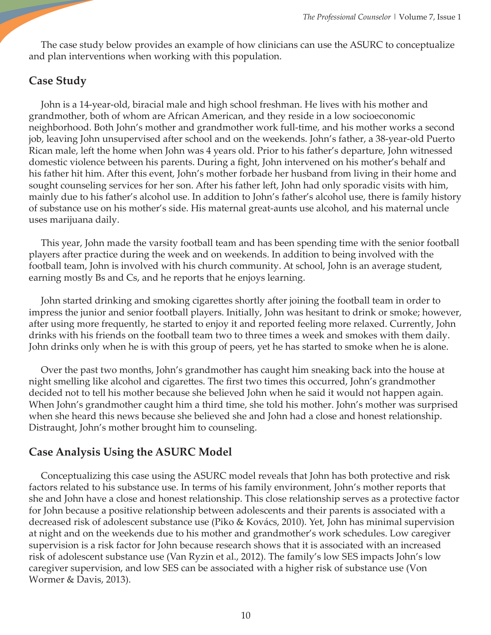The case study below provides an example of how clinicians can use the ASURC to conceptualize and plan interventions when working with this population.

## **Case Study**

 John is a 14-year-old, biracial male and high school freshman. He lives with his mother and grandmother, both of whom are African American, and they reside in a low socioeconomic neighborhood. Both John's mother and grandmother work full-time, and his mother works a second job, leaving John unsupervised after school and on the weekends. John's father, a 38-year-old Puerto Rican male, left the home when John was 4 years old. Prior to his father's departure, John witnessed domestic violence between his parents. During a fight, John intervened on his mother's behalf and his father hit him. After this event, John's mother forbade her husband from living in their home and sought counseling services for her son. After his father left, John had only sporadic visits with him, mainly due to his father's alcohol use. In addition to John's father's alcohol use, there is family history of substance use on his mother's side. His maternal great-aunts use alcohol, and his maternal uncle uses marijuana daily.

 This year, John made the varsity football team and has been spending time with the senior football players after practice during the week and on weekends. In addition to being involved with the football team, John is involved with his church community. At school, John is an average student, earning mostly Bs and Cs, and he reports that he enjoys learning.

 John started drinking and smoking cigarettes shortly after joining the football team in order to impress the junior and senior football players. Initially, John was hesitant to drink or smoke; however, after using more frequently, he started to enjoy it and reported feeling more relaxed. Currently, John drinks with his friends on the football team two to three times a week and smokes with them daily. John drinks only when he is with this group of peers, yet he has started to smoke when he is alone.

 Over the past two months, John's grandmother has caught him sneaking back into the house at night smelling like alcohol and cigarettes. The first two times this occurred, John's grandmother decided not to tell his mother because she believed John when he said it would not happen again. When John's grandmother caught him a third time, she told his mother. John's mother was surprised when she heard this news because she believed she and John had a close and honest relationship. Distraught, John's mother brought him to counseling.

### **Case Analysis Using the ASURC Model**

 Conceptualizing this case using the ASURC model reveals that John has both protective and risk factors related to his substance use. In terms of his family environment, John's mother reports that she and John have a close and honest relationship. This close relationship serves as a protective factor for John because a positive relationship between adolescents and their parents is associated with a decreased risk of adolescent substance use (Piko & Kovács, 2010). Yet, John has minimal supervision at night and on the weekends due to his mother and grandmother's work schedules. Low caregiver supervision is a risk factor for John because research shows that it is associated with an increased risk of adolescent substance use (Van Ryzin et al., 2012). The family's low SES impacts John's low caregiver supervision, and low SES can be associated with a higher risk of substance use (Von Wormer & Davis, 2013).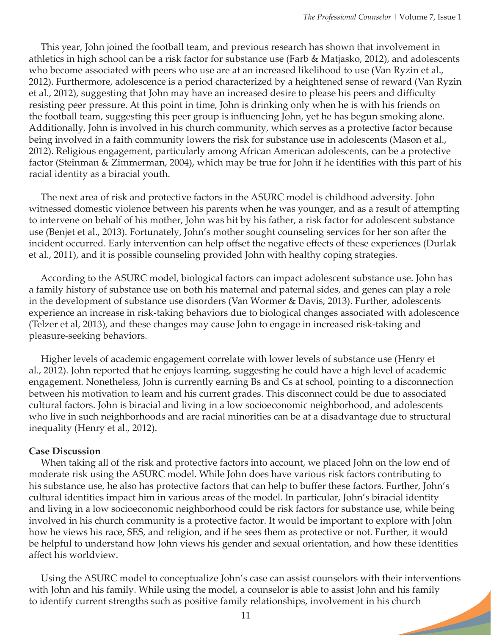This year, John joined the football team, and previous research has shown that involvement in athletics in high school can be a risk factor for substance use (Farb & Matjasko, 2012), and adolescents who become associated with peers who use are at an increased likelihood to use (Van Ryzin et al., 2012). Furthermore, adolescence is a period characterized by a heightened sense of reward (Van Ryzin et al., 2012), suggesting that John may have an increased desire to please his peers and difficulty resisting peer pressure. At this point in time, John is drinking only when he is with his friends on the football team, suggesting this peer group is influencing John, yet he has begun smoking alone. Additionally, John is involved in his church community, which serves as a protective factor because being involved in a faith community lowers the risk for substance use in adolescents (Mason et al., 2012). Religious engagement, particularly among African American adolescents, can be a protective factor (Steinman & Zimmerman, 2004), which may be true for John if he identifies with this part of his racial identity as a biracial youth.

 The next area of risk and protective factors in the ASURC model is childhood adversity. John witnessed domestic violence between his parents when he was younger, and as a result of attempting to intervene on behalf of his mother, John was hit by his father, a risk factor for adolescent substance use (Benjet et al., 2013). Fortunately, John's mother sought counseling services for her son after the incident occurred. Early intervention can help offset the negative effects of these experiences (Durlak et al., 2011), and it is possible counseling provided John with healthy coping strategies.

 According to the ASURC model, biological factors can impact adolescent substance use. John has a family history of substance use on both his maternal and paternal sides, and genes can play a role in the development of substance use disorders (Van Wormer & Davis, 2013). Further, adolescents experience an increase in risk-taking behaviors due to biological changes associated with adolescence (Telzer et al, 2013), and these changes may cause John to engage in increased risk-taking and pleasure-seeking behaviors.

 Higher levels of academic engagement correlate with lower levels of substance use (Henry et al., 2012). John reported that he enjoys learning, suggesting he could have a high level of academic engagement. Nonetheless, John is currently earning Bs and Cs at school, pointing to a disconnection between his motivation to learn and his current grades. This disconnect could be due to associated cultural factors. John is biracial and living in a low socioeconomic neighborhood, and adolescents who live in such neighborhoods and are racial minorities can be at a disadvantage due to structural inequality (Henry et al., 2012).

#### **Case Discussion**

 When taking all of the risk and protective factors into account, we placed John on the low end of moderate risk using the ASURC model. While John does have various risk factors contributing to his substance use, he also has protective factors that can help to buffer these factors. Further, John's cultural identities impact him in various areas of the model. In particular, John's biracial identity and living in a low socioeconomic neighborhood could be risk factors for substance use, while being involved in his church community is a protective factor. It would be important to explore with John how he views his race, SES, and religion, and if he sees them as protective or not. Further, it would be helpful to understand how John views his gender and sexual orientation, and how these identities affect his worldview.

 Using the ASURC model to conceptualize John's case can assist counselors with their interventions with John and his family. While using the model, a counselor is able to assist John and his family to identify current strengths such as positive family relationships, involvement in his church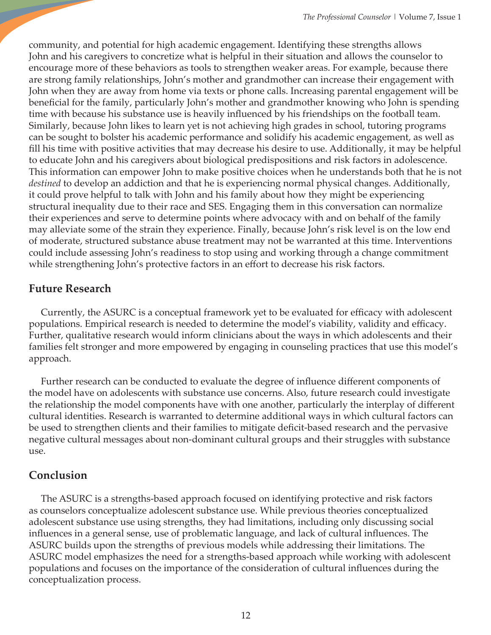community, and potential for high academic engagement. Identifying these strengths allows John and his caregivers to concretize what is helpful in their situation and allows the counselor to encourage more of these behaviors as tools to strengthen weaker areas. For example, because there are strong family relationships, John's mother and grandmother can increase their engagement with John when they are away from home via texts or phone calls. Increasing parental engagement will be beneficial for the family, particularly John's mother and grandmother knowing who John is spending time with because his substance use is heavily influenced by his friendships on the football team. Similarly, because John likes to learn yet is not achieving high grades in school, tutoring programs can be sought to bolster his academic performance and solidify his academic engagement, as well as fill his time with positive activities that may decrease his desire to use. Additionally, it may be helpful to educate John and his caregivers about biological predispositions and risk factors in adolescence. This information can empower John to make positive choices when he understands both that he is not *destined* to develop an addiction and that he is experiencing normal physical changes. Additionally, it could prove helpful to talk with John and his family about how they might be experiencing structural inequality due to their race and SES. Engaging them in this conversation can normalize their experiences and serve to determine points where advocacy with and on behalf of the family may alleviate some of the strain they experience. Finally, because John's risk level is on the low end of moderate, structured substance abuse treatment may not be warranted at this time. Interventions could include assessing John's readiness to stop using and working through a change commitment while strengthening John's protective factors in an effort to decrease his risk factors.

## **Future Research**

 Currently, the ASURC is a conceptual framework yet to be evaluated for efficacy with adolescent populations. Empirical research is needed to determine the model's viability, validity and efficacy. Further, qualitative research would inform clinicians about the ways in which adolescents and their families felt stronger and more empowered by engaging in counseling practices that use this model's approach.

 Further research can be conducted to evaluate the degree of influence different components of the model have on adolescents with substance use concerns. Also, future research could investigate the relationship the model components have with one another, particularly the interplay of different cultural identities. Research is warranted to determine additional ways in which cultural factors can be used to strengthen clients and their families to mitigate deficit-based research and the pervasive negative cultural messages about non-dominant cultural groups and their struggles with substance use.

## **Conclusion**

The ASURC is a strengths-based approach focused on identifying protective and risk factors as counselors conceptualize adolescent substance use. While previous theories conceptualized adolescent substance use using strengths, they had limitations, including only discussing social influences in a general sense, use of problematic language, and lack of cultural influences. The ASURC builds upon the strengths of previous models while addressing their limitations. The ASURC model emphasizes the need for a strengths-based approach while working with adolescent populations and focuses on the importance of the consideration of cultural influences during the conceptualization process.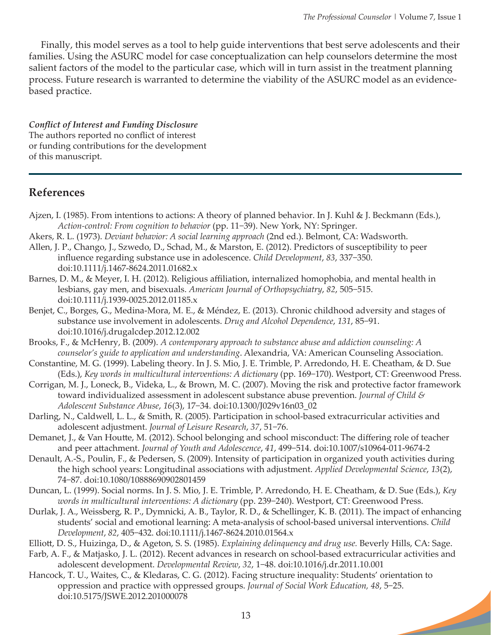Finally, this model serves as a tool to help guide interventions that best serve adolescents and their families. Using the ASURC model for case conceptualization can help counselors determine the most salient factors of the model to the particular case, which will in turn assist in the treatment planning process. Future research is warranted to determine the viability of the ASURC model as an evidencebased practice.

#### *Conflict of Interest and Funding Disclosure*

The authors reported no conflict of interest or funding contributions for the development of this manuscript.

## **References**

- Ajzen, I. (1985). From intentions to actions: A theory of planned behavior. In J. Kuhl & J. Beckmann (Eds.), *Action-control: From cognition to behavior* (pp. 11−39). New York, NY: Springer.
- Akers, R. L. (1973). *Deviant behavior: A social learning approach* (2nd ed.). Belmont, CA: Wadsworth.
- Allen, J. P., Chango, J., Szwedo, D., Schad, M., & Marston, E. (2012). Predictors of susceptibility to peer influence regarding substance use in adolescence. *Child Development*, *83*, 337−350. doi:10.1111/j.1467-8624.2011.01682.x
- Barnes, D. M., & Meyer, I. H. (2012). Religious affiliation, internalized homophobia, and mental health in lesbians, gay men, and bisexuals. *American Journal of Orthopsychiatry*, *82*, 505−515. doi:10.1111/j.1939-0025.2012.01185.x
- Benjet, C., Borges, G., Medina-Mora, M. E., & Méndez, E. (2013). Chronic childhood adversity and stages of substance use involvement in adolescents. *Drug and Alcohol Dependence*, *131*, 85−91. doi:10.1016/j.drugalcdep.2012.12.002
- Brooks, F., & McHenry, B. (2009). *A contemporary approach to substance abuse and addiction counseling: A counselor's guide to application and understanding*. Alexandria, VA: American Counseling Association.
- Constantine, M. G. (1999). Labeling theory. In J. S. Mio, J. E. Trimble, P. Arredondo, H. E. Cheatham, & D. Sue (Eds.), *Key words in multicultural interventions: A dictionary* (pp. 169−170). Westport, CT: Greenwood Press.
- Corrigan, M. J., Loneck, B., Videka, L., & Brown, M. C. (2007). Moving the risk and protective factor framework toward individualized assessment in adolescent substance abuse prevention. *Journal of Child & Adolescent Substance Abuse*, *16*(3), 17−34. doi:10.1300/J029v16n03\_02
- Darling, N., Caldwell, L. L., & Smith, R. (2005). Participation in school-based extracurricular activities and adolescent adjustment. *Journal of Leisure Research*, *37*, 51−76.
- Demanet, J., & Van Houtte, M. (2012). School belonging and school misconduct: The differing role of teacher and peer attachment. *Journal of Youth and Adolescence*, *41*, 499−514. doi:10.1007/s10964-011-9674-2
- Denault, A.-S., Poulin, F., & Pedersen, S. (2009). Intensity of participation in organized youth activities during the high school years: Longitudinal associations with adjustment. *Applied Developmental Science*, *13*(2), 74−87. doi:10.1080/10888690902801459
- Duncan, L. (1999). Social norms. In J. S. Mio, J. E. Trimble, P. Arredondo, H. E. Cheatham, & D. Sue (Eds.), *Key words in multicultural interventions: A dictionary* (pp. 239−240). Westport, CT: Greenwood Press.
- Durlak, J. A., Weissberg, R. P., Dymnicki, A. B., Taylor, R. D., & Schellinger, K. B. (2011). The impact of enhancing students' social and emotional learning: A meta-analysis of school-based universal interventions. *Child Development*, *82*, 405−432. doi:10.1111/j.1467-8624.2010.01564.x
- Elliott, D. S., Huizinga, D., & Ageton, S. S. (1985). *Explaining delinquency and drug use.* Beverly Hills, CA: Sage.
- Farb, A. F., & Matjasko, J. L. (2012). Recent advances in research on school-based extracurricular activities and adolescent development. *Developmental Review*, *32*, 1−48. doi:10.1016/j.dr.2011.10.001
- Hancock, T. U., Waites, C., & Kledaras, C. G. (2012). Facing structure inequality: Students' orientation to oppression and practice with oppressed groups. *Journal of Social Work Education, 48*, 5−25. doi:10.5175/JSWE.2012.201000078